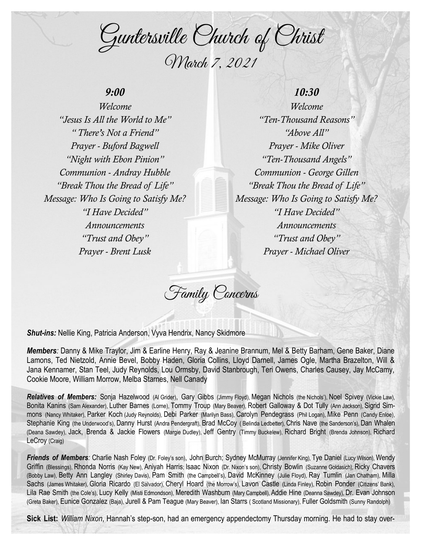Guntersville Church of Christ March 7, 2021

## *9:00*

*Welcome "Jesus Is All the World to Me" " There's Not a Friend" Prayer - Buford Bagwell "Night with Ebon Pinion" Communion - Andray Hubble "Break Thou the Bread of Life" Message: Who Is Going to Satisfy Me? "I Have Decided" Announcements "Trust and Obey" Prayer - Brent Lusk*

## *10:30*

*Welcome "Ten-Thousand Reasons" "Above All" Prayer - Mike Oliver "Ten-Thousand Angels" Communion - George Gillen "Break Thou the Bread of Life" Message: Who Is Going to Satisfy Me? "I Have Decided" Announcements "Trust and Obey" Prayer - Michael Oliver*

Family Concerns

*Shut-ins:* Nellie King, Patricia Anderson, Vyva Hendrix, Nancy Skidmore

*Members:* Danny & Mike Traylor, Jim & Earline Henry, Ray & Jeanine Brannum, Mel & Betty Barham, Gene Baker, Diane Lamons, Ted Nietzold, Annie Bevel, Bobby Haden, Gloria Collins, Lloyd Darnell, James Ogle, Martha Brazelton, Will & Jana Kennamer, Stan Teel, Judy Reynolds, Lou Ormsby, David Stanbrough, Teri Owens, Charles Causey, Jay McCamy, Cookie Moore, William Morrow, Melba Starnes, Nell Canady

*Relatives of Members:* Sonja Hazelwood (Al Grider), Gary Gibbs (Jimmy Floyd), Megan Nichols (the Nichols'), Noel Spivey (Vickie Law), Bonita Kanins (Sam Alexander), Luther Barnes (Lorne), Tommy Troup (Mary Beaver), Robert Galloway & Dot Tully (Ann Jackson), Sigrid Simmons (Nancy Whitaker), Parker Koch (Judy Reynolds), Debi Parker (Marilyn Bass), Carolyn Pendegrass (Phil Logan), Mike Penn (Candy Enloe), Stephanie King (the Underwood's), Danny Hurst (Andra Pendergraft), Brad McCoy ( Belinda Ledbetter), Chris Nave (the Sanderson's), Dan Whalen (Deana Sawdey), Jack, Brenda & Jackie Flowers (Margie Dudley), Jeff Gentry (Timmy Buckelew), Richard Bright (Brenda Johnson), Richard LeCroy (Craig)

Friends of Members: Charlie Nash Foley (Dr. Foley's son), John Burch; Sydney McMurray (Jennifer King), Tye Daniel (Lucy Wilson), Wendy Griffin (Blessings), Rhonda Norris (Kay New), Aniyah Harris; Isaac Nixon (Dr. Nixon's son), Christy Bowlin (Suzanne Goldasich), Ricky Chavers (Bobby Law), Betty Ann Langley (Shirley Davis), Pam Smith (the Campbell's), David McKinney (Julie Floyd), Ray Tumlin (Jan Chatham), Milla Sachs (James Whitaker), Gloria Ricardo (El Salvador), Cheryl Hoard (the Morrow's), Lavon Castle (Linda Finley), Robin Ponder (Citizens' Bank), Lila Rae Smith (the Cole's), Lucy Kelly (Misti Edmondson), Meredith Washburn (Mary Campbell), Addie Hine (Deanna Sawdey), Dr. Evan Johnson (Greta Baker), Eunice Gonzalez (Baja), Jurell & Pam Teague (Mary Beaver), Ian Starrs ( Scotland Missionary), Fuller Goldsmith (Sunny Randolph)

**Sick List:** *William Nixon*, Hannah's step-son, had an emergency appendectomy Thursday morning. He had to stay over-